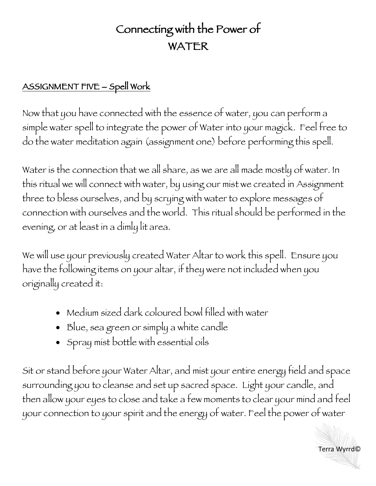## Connecting with the Power of WATER

## ASSIGNMENT FIVE – Spell Work

Now that you have connected with the essence of water, you can perform a simple water spell to integrate the power of Water into your magick. Feel free to do the water meditation again (assignment one) before performing this spell.

Water is the connection that we all share, as we are all made mostly of water. In this ritual we will connect with water, by using our mist we created in Assignment three to bless ourselves, and by scrying with water to explore messages of connection with ourselves and the world. This ritual should be performed in the evening, or at least in a dimly lit area.

We will use your previously created Water Altar to work this spell. Ensure you have the following items on your altar, if they were not included when you originally created it:

- Medium sized dark coloured bowl filled with water
- Blue, sea green or simply a white candle
- Spray mist bottle with essential oils

Sit or stand before your Water Altar, and mist your entire energy field and space surrounding you to cleanse and set up sacred space. Light your candle, and then allow your eyes to close and take a few moments to clear your mind and feel your connection to your spirit and the energy of water. Feel the power of water